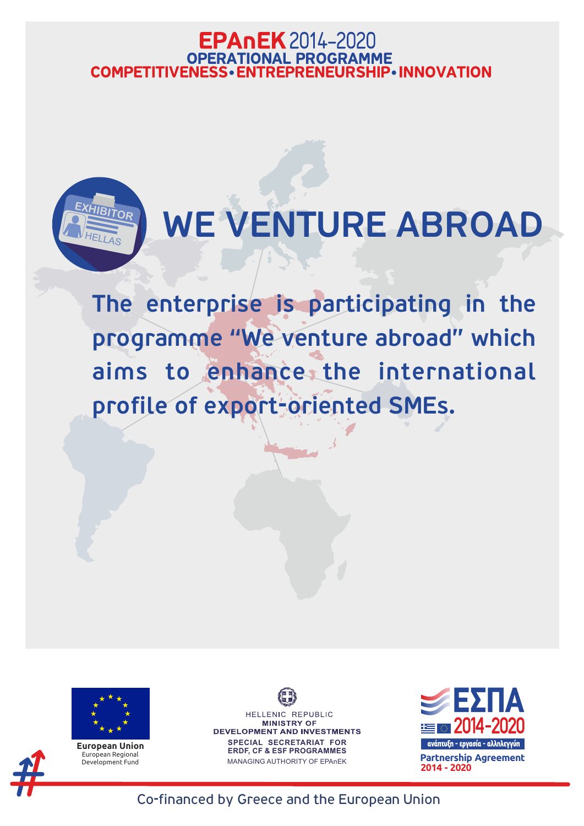HELLENIC REPUBLIC **MINISTRY OF** DEVELOPMENT AND INVESTMENTS **SPECIAL SECRETARIAT FOR** 

**ERDF, CF & ESF PROGRAMMES**

MANAGING AUTHORITY OF EPAnEK



## **EPAnEK** 2014-2020 **OPERATIONAL PROGRAMME COMPETITIVENESS · ENTREPRENEURSHIP · INNOVATION**



# WE VENTURE ABROAD

The enterprise is participating in the programme "We venture abroad" which aims to enhance, the international profile of export-oriented SMEs.



**European Union** European Regional

Development Fund **Partnership Agreement 2014 - 2020**

### Co-financed by Greece and the European Union